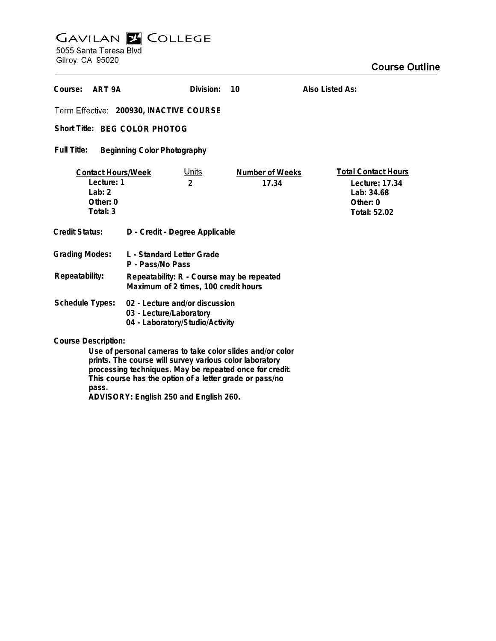## **GAVILAN E COLLEGE**<br>5055 Santa Teresa Blvd

Gilroy, CA 95020

| Course:<br>ART 9A                                                                                                                                                                                             |                                                                                              | Division:                      | 10                       | Also Listed As:                                                                        |
|---------------------------------------------------------------------------------------------------------------------------------------------------------------------------------------------------------------|----------------------------------------------------------------------------------------------|--------------------------------|--------------------------|----------------------------------------------------------------------------------------|
| Term Effective: 200930, INACTIVE COURSE                                                                                                                                                                       |                                                                                              |                                |                          |                                                                                        |
| Short Title: BFG COLOR PHOTOG                                                                                                                                                                                 |                                                                                              |                                |                          |                                                                                        |
| Full Title:<br><b>Beginning Color Photography</b>                                                                                                                                                             |                                                                                              |                                |                          |                                                                                        |
| <b>Contact Hours/Week</b><br>Lecture: 1<br>Lab: $2$<br>Other: 0<br>Total: 3                                                                                                                                   |                                                                                              | <u>Units</u><br>$\overline{2}$ | Number of Weeks<br>17.34 | <b>Total Contact Hours</b><br>Lecture: 17.34<br>Lab: 34.68<br>Other: 0<br>Total: 52.02 |
| Credit Status:                                                                                                                                                                                                | D - Credit - Degree Applicable                                                               |                                |                          |                                                                                        |
| <b>Grading Modes:</b>                                                                                                                                                                                         | L - Standard Letter Grade<br>P - Pass/No Pass                                                |                                |                          |                                                                                        |
| Repeatability:                                                                                                                                                                                                | Repeatability: R - Course may be repeated<br>Maximum of 2 times, 100 credit hours            |                                |                          |                                                                                        |
| <b>Schedule Types:</b>                                                                                                                                                                                        | 02 - Lecture and/or discussion<br>03 - Lecture/Laboratory<br>04 - Laboratory/Studio/Activity |                                |                          |                                                                                        |
| <b>Course Description:</b><br>Use of personal cameras to take color slides and/or color<br>prints. The course will survey various color laboratory<br>processing techniques. May be repeated once for credit. |                                                                                              |                                |                          |                                                                                        |

**pass. ADVISORY: English 250 and English 260.**

**This course has the option of a letter grade or pass/no**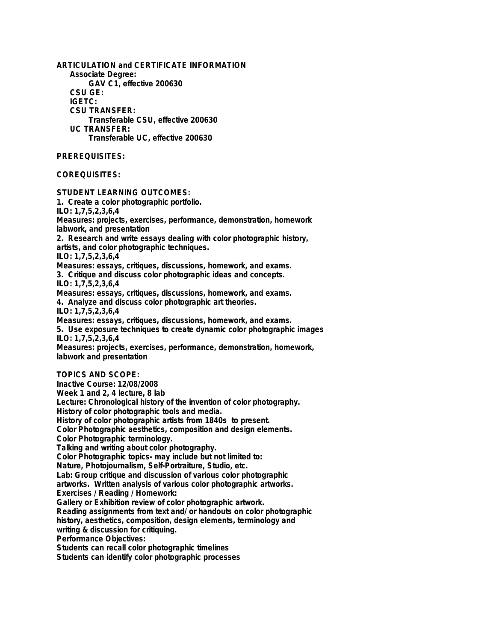**ARTICULATION and CERTIFICATE INFORMATION Associate Degree: GAV C1, effective 200630 CSU GE: IGETC: CSU TRANSFER: Transferable CSU, effective 200630 UC TRANSFER: Transferable UC, effective 200630 PREREQUISITES: COREQUISITES: STUDENT LEARNING OUTCOMES: 1. Create a color photographic portfolio. ILO: 1,7,5,2,3,6,4 Measures: projects, exercises, performance, demonstration, homework labwork, and presentation 2. Research and write essays dealing with color photographic history, artists, and color photographic techniques. ILO: 1,7,5,2,3,6,4 Measures: essays, critiques, discussions, homework, and exams. 3. Critique and discuss color photographic ideas and concepts. ILO: 1,7,5,2,3,6,4 Measures: essays, critiques, discussions, homework, and exams. 4. Analyze and discuss color photographic art theories. ILO: 1,7,5,2,3,6,4 Measures: essays, critiques, discussions, homework, and exams. 5. Use exposure techniques to create dynamic color photographic images ILO: 1,7,5,2,3,6,4 Measures: projects, exercises, performance, demonstration, homework, labwork and presentation TOPICS AND SCOPE: Inactive Course: 12/08/2008 Week 1 and 2, 4 lecture, 8 lab Lecture: Chronological history of the invention of color photography. History of color photographic tools and media. History of color photographic artists from 1840s to present. Color Photographic aesthetics, composition and design elements. Color Photographic terminology. Talking and writing about color photography. Color Photographic topics- may include but not limited to: Nature, Photojournalism, Self-Portraiture, Studio, etc. Lab: Group critique and discussion of various color photographic artworks. Written analysis of various color photographic artworks. Exercises / Reading / Homework: Gallery or Exhibition review of color photographic artwork. Reading assignments from text and/ or handouts on color photographic history, aesthetics, composition, design elements, terminology and writing & discussion for critiquing. Performance Objectives: Students can recall color photographic timelines Students can identify color photographic processes**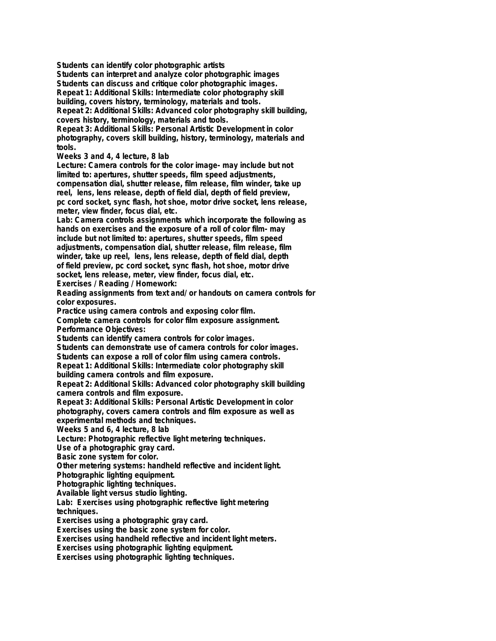**Students can identify color photographic artists**

**Students can interpret and analyze color photographic images**

**Students can discuss and critique color photographic images.**

**Repeat 1: Additional Skills: Intermediate color photography skill**

**building, covers history, terminology, materials and tools.**

**Repeat 2: Additional Skills: Advanced color photography skill building, covers history, terminology, materials and tools.**

**Repeat 3: Additional Skills: Personal Artistic Development in color photography, covers skill building, history, terminology, materials and tools.**

**Weeks 3 and 4, 4 lecture, 8 lab**

**Lecture: Camera controls for the color image- may include but not limited to: apertures, shutter speeds, film speed adjustments, compensation dial, shutter release, film release, film winder, take up reel, lens, lens release, depth of field dial, depth of field preview, pc cord socket, sync flash, hot shoe, motor drive socket, lens release, meter, view finder, focus dial, etc.**

**Lab: Camera controls assignments which incorporate the following as hands on exercises and the exposure of a roll of color film- may include but not limited to: apertures, shutter speeds, film speed adjustments, compensation dial, shutter release, film release, film winder, take up reel, lens, lens release, depth of field dial, depth of field preview, pc cord socket, sync flash, hot shoe, motor drive socket, lens release, meter, view finder, focus dial, etc.**

**Exercises / Reading / Homework:**

**Reading assignments from text and/ or handouts on camera controls for color exposures.**

**Practice using camera controls and exposing color film.**

**Complete camera controls for color film exposure assignment. Performance Objectives:**

**Students can identify camera controls for color images.**

**Students can demonstrate use of camera controls for color images. Students can expose a roll of color film using camera controls.**

**Repeat 1: Additional Skills: Intermediate color photography skill**

**building camera controls and film exposure.**

**Repeat 2: Additional Skills: Advanced color photography skill building camera controls and film exposure.**

**Repeat 3: Additional Skills: Personal Artistic Development in color photography, covers camera controls and film exposure as well as experimental methods and techniques.**

**Weeks 5 and 6, 4 lecture, 8 lab**

**Lecture: Photographic reflective light metering techniques.**

**Use of a photographic gray card.**

**Basic zone system for color.**

**Other metering systems: handheld reflective and incident light.**

**Photographic lighting equipment.**

**Photographic lighting techniques.**

**Available light versus studio lighting.**

**Lab: Exercises using photographic reflective light metering techniques.**

**Exercises using a photographic gray card.**

**Exercises using the basic zone system for color.**

**Exercises using handheld reflective and incident light meters.**

**Exercises using photographic lighting equipment.**

**Exercises using photographic lighting techniques.**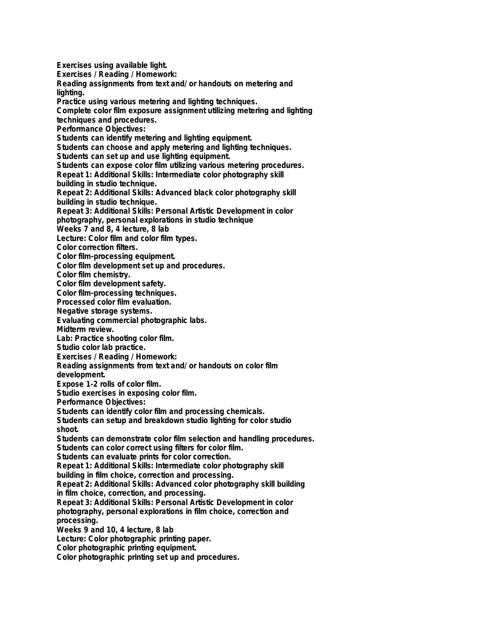**Exercises using available light. Exercises / Reading / Homework: Reading assignments from text and/ or handouts on metering and lighting. Practice using various metering and lighting techniques. Complete color film exposure assignment utilizing metering and lighting techniques and procedures. Performance Objectives: Students can identify metering and lighting equipment. Students can choose and apply metering and lighting techniques. Students can set up and use lighting equipment. Students can expose color film utilizing various metering procedures. Repeat 1: Additional Skills: Intermediate color photography skill building in studio technique. Repeat 2: Additional Skills: Advanced black color photography skill building in studio technique. Repeat 3: Additional Skills: Personal Artistic Development in color photography, personal explorations in studio technique Weeks 7 and 8, 4 lecture, 8 lab Lecture: Color film and color film types. Color correction filters. Color film-processing equipment. Color film development set up and procedures. Color film chemistry. Color film development safety. Color film-processing techniques. Processed color film evaluation. Negative storage systems. Evaluating commercial photographic labs. Midterm review. Lab: Practice shooting color film. Studio color lab practice. Exercises / Reading / Homework: Reading assignments from text and/ or handouts on color film development. Expose 1-2 rolls of color film. Studio exercises in exposing color film. Performance Objectives: Students can identify color film and processing chemicals. Students can setup and breakdown studio lighting for color studio shoot. Students can demonstrate color film selection and handling procedures. Students can color correct using filters for color film. Students can evaluate prints for color correction. Repeat 1: Additional Skills: Intermediate color photography skill building in film choice, correction and processing. Repeat 2: Additional Skills: Advanced color photography skill building in film choice, correction, and processing. Repeat 3: Additional Skills: Personal Artistic Development in color photography, personal explorations in film choice, correction and processing. Weeks 9 and 10, 4 lecture, 8 lab Lecture: Color photographic printing paper. Color photographic printing equipment. Color photographic printing set up and procedures.**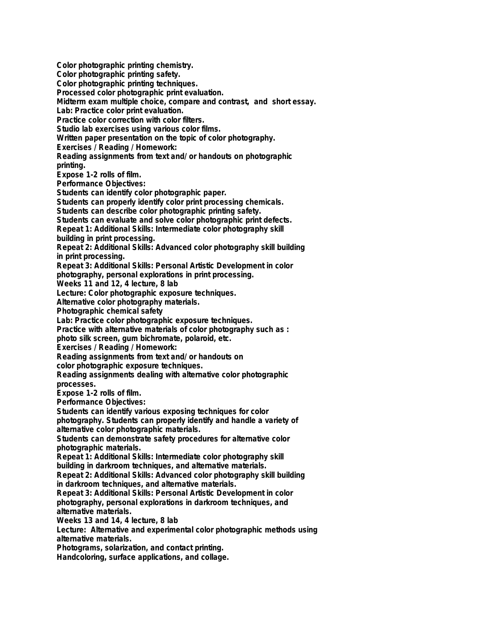**Color photographic printing chemistry. Color photographic printing safety. Color photographic printing techniques. Processed color photographic print evaluation. Midterm exam multiple choice, compare and contrast, and short essay. Lab: Practice color print evaluation. Practice color correction with color filters. Studio lab exercises using various color films. Written paper presentation on the topic of color photography. Exercises / Reading / Homework: Reading assignments from text and/ or handouts on photographic printing. Expose 1-2 rolls of film. Performance Objectives: Students can identify color photographic paper. Students can properly identify color print processing chemicals. Students can describe color photographic printing safety. Students can evaluate and solve color photographic print defects. Repeat 1: Additional Skills: Intermediate color photography skill building in print processing. Repeat 2: Additional Skills: Advanced color photography skill building in print processing. Repeat 3: Additional Skills: Personal Artistic Development in color photography, personal explorations in print processing. Weeks 11 and 12, 4 lecture, 8 lab Lecture: Color photographic exposure techniques. Alternative color photography materials. Photographic chemical safety Lab: Practice color photographic exposure techniques. Practice with alternative materials of color photography such as : photo silk screen, gum bichromate, polaroid, etc. Exercises / Reading / Homework: Reading assignments from text and/ or handouts on color photographic exposure techniques. Reading assignments dealing with alternative color photographic processes. Expose 1-2 rolls of film. Performance Objectives: Students can identify various exposing techniques for color photography. Students can properly identify and handle a variety of alternative color photographic materials. Students can demonstrate safety procedures for alternative color photographic materials. Repeat 1: Additional Skills: Intermediate color photography skill building in darkroom techniques, and alternative materials. Repeat 2: Additional Skills: Advanced color photography skill building in darkroom techniques, and alternative materials. Repeat 3: Additional Skills: Personal Artistic Development in color photography, personal explorations in darkroom techniques, and alternative materials. Weeks 13 and 14, 4 lecture, 8 lab Lecture: Alternative and experimental color photographic methods using alternative materials. Photograms, solarization, and contact printing. Handcoloring, surface applications, and collage.**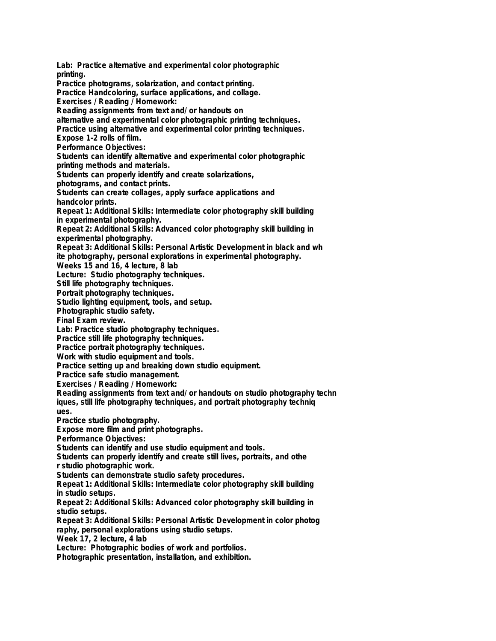**Lab: Practice alternative and experimental color photographic printing. Practice photograms, solarization, and contact printing. Practice Handcoloring, surface applications, and collage. Exercises / Reading / Homework: Reading assignments from text and/ or handouts on alternative and experimental color photographic printing techniques. Practice using alternative and experimental color printing techniques. Expose 1-2 rolls of film. Performance Objectives: Students can identify alternative and experimental color photographic printing methods and materials. Students can properly identify and create solarizations, photograms, and contact prints. Students can create collages, apply surface applications and handcolor prints. Repeat 1: Additional Skills: Intermediate color photography skill building in experimental photography. Repeat 2: Additional Skills: Advanced color photography skill building in experimental photography. Repeat 3: Additional Skills: Personal Artistic Development in black and wh ite photography, personal explorations in experimental photography. Weeks 15 and 16, 4 lecture, 8 lab Lecture: Studio photography techniques. Still life photography techniques. Portrait photography techniques. Studio lighting equipment, tools, and setup. Photographic studio safety. Final Exam review. Lab: Practice studio photography techniques. Practice still life photography techniques. Practice portrait photography techniques. Work with studio equipment and tools. Practice setting up and breaking down studio equipment. Practice safe studio management. Exercises / Reading / Homework: Reading assignments from text and/ or handouts on studio photography techn iques, still life photography techniques, and portrait photography techniq ues. Practice studio photography. Expose more film and print photographs. Performance Objectives: Students can identify and use studio equipment and tools. Students can properly identify and create still lives, portraits, and othe r studio photographic work. Students can demonstrate studio safety procedures. Repeat 1: Additional Skills: Intermediate color photography skill building in studio setups. Repeat 2: Additional Skills: Advanced color photography skill building in studio setups. Repeat 3: Additional Skills: Personal Artistic Development in color photog raphy, personal explorations using studio setups. Week 17, 2 lecture, 4 lab Lecture: Photographic bodies of work and portfolios. Photographic presentation, installation, and exhibition.**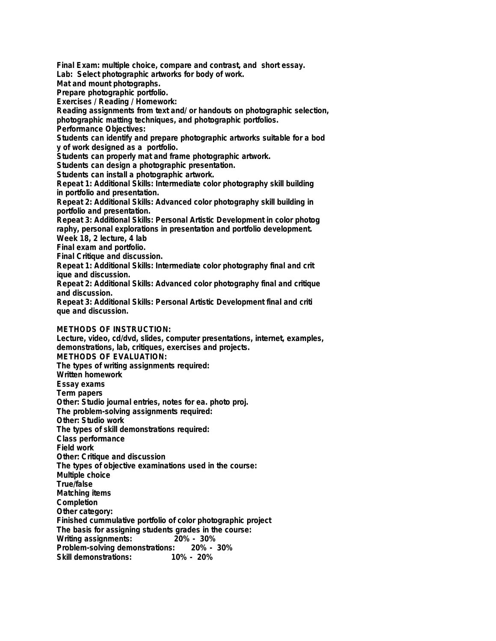**Final Exam: multiple choice, compare and contrast, and short essay.**

**Lab: Select photographic artworks for body of work.**

**Mat and mount photographs.**

**Prepare photographic portfolio.**

**Exercises / Reading / Homework:**

**Reading assignments from text and/ or handouts on photographic selection, photographic matting techniques, and photographic portfolios.**

**Performance Objectives:**

**Students can identify and prepare photographic artworks suitable for a bod y of work designed as a portfolio.**

**Students can properly mat and frame photographic artwork.**

**Students can design a photographic presentation.**

**Students can install a photographic artwork.**

**Repeat 1: Additional Skills: Intermediate color photography skill building in portfolio and presentation.**

**Repeat 2: Additional Skills: Advanced color photography skill building in portfolio and presentation.**

**Repeat 3: Additional Skills: Personal Artistic Development in color photog raphy, personal explorations in presentation and portfolio development.**

**Week 18, 2 lecture, 4 lab**

**Final exam and portfolio.**

**Final Critique and discussion.**

**Repeat 1: Additional Skills: Intermediate color photography final and crit ique and discussion.**

**Repeat 2: Additional Skills: Advanced color photography final and critique and discussion.**

**Repeat 3: Additional Skills: Personal Artistic Development final and criti que and discussion.**

## **METHODS OF INSTRUCTION:**

**Lecture, video, cd/dvd, slides, computer presentations, internet, examples, demonstrations, lab, critiques, exercises and projects. METHODS OF EVALUATION: The types of writing assignments required: Written homework Essay exams Term papers Other: Studio journal entries, notes for ea. photo proj. The problem-solving assignments required: Other: Studio work The types of skill demonstrations required: Class performance Field work Other: Critique and discussion The types of objective examinations used in the course: Multiple choice True/false Matching items Completion Other category: Finished cummulative portfolio of color photographic project The basis for assigning students grades in the course: Writing assignments: 20% - 30% Problem-solving demonstrations: Skill demonstrations: 10% - 20%**